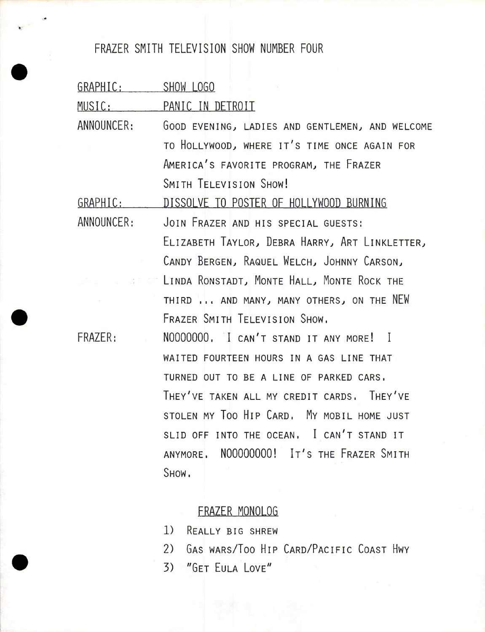## FRAZER SMITH TELEVISION SHOW NUMBER FOUR

GRAPHIC: SHOW LOGO

**•** 

•

**•** 

MUSIC: PANIC IN DETROIT

ANNOUNCER: GOOD EVENING) LADIES AND GENTLEMEN) AND WELCOME TO HOLLYWOOD) WHERE IT'S TIME ONCE AGAIN FOR AMERICA'S FAVORITE PROGRAM) THE FRAZER SMITH TELEVISION SHOW!

GRAPHIC: DISSOLVE TO POSTER OF HOLLYWOOD BURNING

ANNOUNCER: FRAZER: JOIN FRAZER AND HIS SPECIAL GUESTS: ELIZABETH TAYLOR) DEBRA HARRY) ART LINKLETTER) CANDY BERGEN, RAQUEL WELCH, JOHNNY CARSON, LINDA RONSTADT, MONTE HALL, MONTE ROCK THE THIRD ... AND MANY, MANY OTHERS, ON THE NEW FRAZER SMITH TELEVISION SHOW, NOOOOOOO, I CAN'T STAND IT ANY MORE! I

WAITED FOURTEEN HOURS IN A GAS LINE THAT TURNED OUT TO BE A LINE OF PARKED CARS, THEy'VE TAKEN ALL MY CREDIT CARDS, THEy'VE STOLEN MY Too HIP CARD, My MOBIL HOME JUST SLID OFF INTO THE OCEAN, I CAN'T STAND IT ANYMORE, NOOOOOOOO! IT'S THE FRAZER SMITH SHOW,

## FRAZER MONOLOG

1) REALLY BIG SHREW

- 2) GAS WARS/Too HIP CARD/PACIFIC COAST Hwy
- 3) "GET EULA LOVE"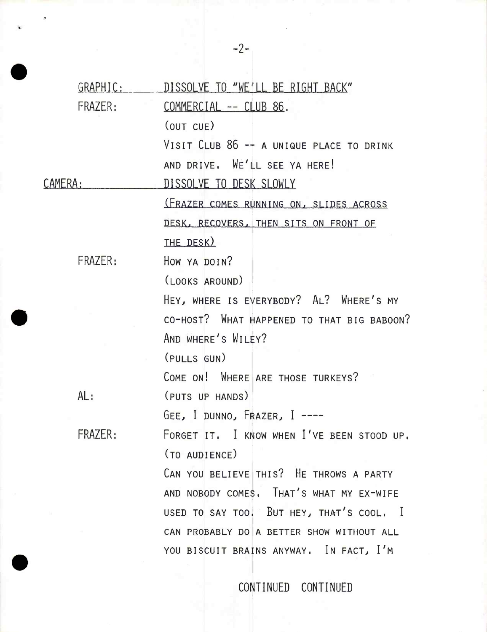| GRAPHIC: | DISSOLVE TO "WE'LL BE RIGHT BACK"          |
|----------|--------------------------------------------|
| FRAZER:  | COMMERCIAL -- CLUB 86.                     |
|          | (OUT CUE)                                  |
|          | VISIT CLUB 86 -+ A UNIQUE PLACE TO DRINK   |
|          | AND DRIVE, WE'LL SEE YA HERE!              |
| CAMERA:  | DISSOLVE TO DESK SLOWLY                    |
|          | (FRAZER COMES RUNNING ON, SLIDES ACROSS    |
|          | DESK, RECOVERS, THEN SITS ON FRONT OF      |
|          | THE DESK)                                  |
| FRAZER:  | HOW YA DOIN?                               |
|          | (LOOKS AROUND)                             |
|          | HEY, WHERE IS EVERYBODY? AL? WHERE'S MY    |
|          | CO-HOST? WHAT HAPPENED TO THAT BIG BABOON? |
|          | AND WHERE'S WILEY?                         |
|          | (PULLS GUN)                                |
|          | COME ON! WHERE ARE THOSE TURKEYS?          |
| AL:      | (PUTS UP HANDS)                            |
|          | GEE, I DUNNO, FRAZER, $I$ ----             |
| FRAZER:  | FORGET IT. I KNOW WHEN I'VE BEEN STOOD UP. |
|          | (TO AUDIENCE)                              |
|          | CAN YOU BELIEVE THIS? HE THROWS A PARTY    |
|          | AND NOBODY COMES. THAT'S WHAT MY EX-WIFE   |
|          | USED TO SAY TOO. BUT HEY, THAT'S COOL. I   |
|          | CAN PROBABLY DO A BETTER SHOW WITHOUT ALL  |
|          | YOU BISCUIT BRAINS ANYWAY. IN FACT, I'M    |
|          |                                            |
|          | CONTINUED CONTINUED                        |

-2-

**•**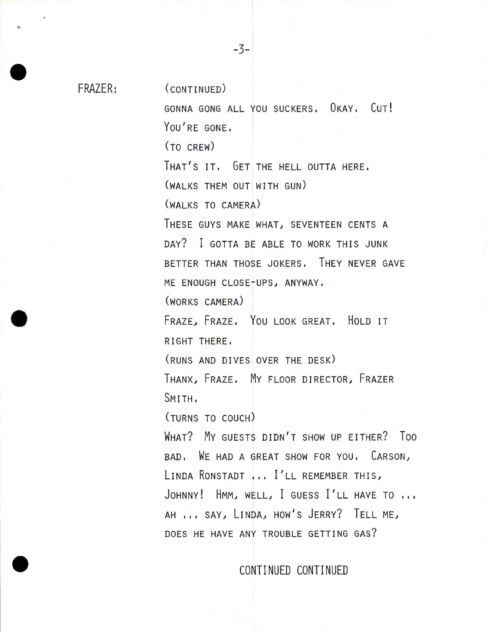**•** 

•

FRAZER: (CONTINUED)

GONNA GONG ALL YOU SUCKERS, OKAY, CUT! YOU'RE GONE, (TO CREW) THAT'S IT. GET THE HELL OUTTA HERE. (WALKS THEM OUT WITH GUN) (WALKS TO CAMERA) THESE GUYS MAKE WHAT) SEVENTEEN CENTS A DAY? I GOTTA BE ABLE TO WORK THIS JUNK BETTER THAN THOSE JOKERS, THEY NEVER GAVE ME ENOUGH CLOSE-UPS, ANYWAY, (WORKS CAMERA) FRAZE) FRAZE, You LOOK GREAT, HOLD IT RIGHT THERE, (RUNS AND DIVES OVER THE DESK) THANX) FRAZE, My FLOOR DIRECTOR) FRAZER SMITH, (TURNS TO COUCH) WHAT? MY GUESTS DIDN'T SHOW UP EITHER? TOO BAD, WE HAD A GREAT SHOW FOR YOU, CARSON) LINDA RONSTADT ... I'LL REMEMBER THIS, JOHNNY! HMM, WELL, I GUESS I'LL HAVE TO ... AH ... SAY, LINDA, HOW'S JERRY? TELL ME, DOES HE HAVE ANY TROUBLE GETTING GAS? FOLS THE TIRVE ANT TROUBLE GETTING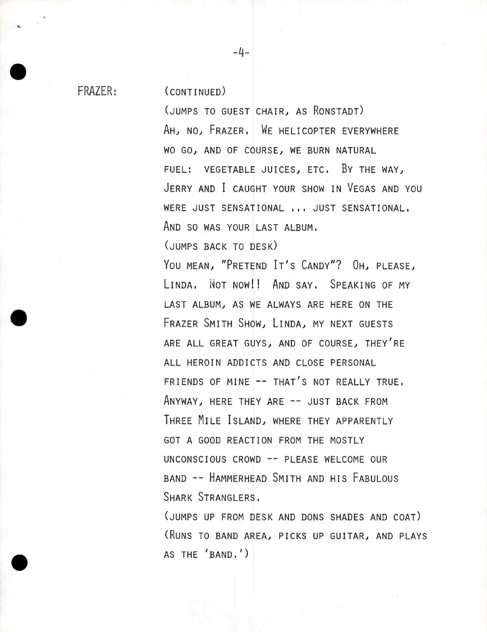**•** 

•

**•** 

FRAZER: (CONTINUED)

(JUMPS TO GUEST CHAIR) AS RONSTADT) AH) NO) FRAZER, WE HELICOPTER EVERYWHERE WO GO) AND OF COURSE) WE BURN NATURAL FUEL: VEGETABLE JUICES) ETC, By THE WAY) JERRY AND I CAUGHT YOUR SHOW IN VEGAS AND YOU WERE JUST SENSATIONAL ... JUST SENSATIONAL, AND SO WAS YOUR LAST ALBUM, (JUMPS BACK TO DESK) YOU MEAN, "PRETEND IT'S CANDY"? OH, PLEASE, LINDA, NOT NOW!! AND SAY, SPEAKING OF MY LAST ALBUM) AS WE ALWAYS ARE HERE ON THE FRAZER SMITH SHOW) LINDA) MY NEXT GUESTS ARE ALL GREAT GUYS) AND OF COURSE) THEy'RE ALL HEROIN ADDICTS AND CLOSE PERSONAL FRIENDS OF MINE -- THAT'S NOT REALLY TRUE, ANYWAY) HERE THEY ARE -- JUST BACK FROM THREE MILE ISLAND, WHERE THEY APPARENTLY GOT A GOOD REACTION FROM THE MOSTLY UNCONSCIOUS CROWD -- PLEASE WELCOME OUR BAND -- HAMMERHEAD SMITH AND HIS FABULOUS

(JUMPS UP FROM DESK AND DONS SHADES AND COAT) (RUNS TO BAND AREA) PICKS UP GUITAR) AND PLAYS AS THE 'BAND, ')

SHARK STRANGLERS,

-4-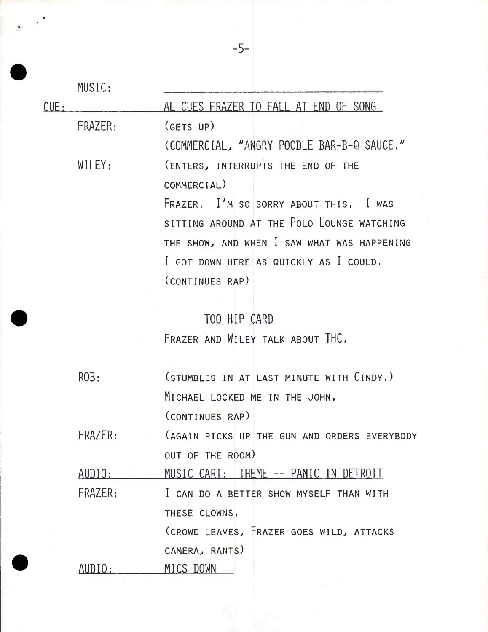|      | MUSIC:         |                                              |
|------|----------------|----------------------------------------------|
| CUE: |                | AL CUES FRAZER TO FALL AT END OF SONG        |
|      | FRAZER:        | (GETS UP)                                    |
|      |                | (COMMERCIAL, "ANGRY POODLE BAR-B-Q SAUCE."   |
|      | WILEY:         | (ENTERS, INTERRUPTS THE END OF THE           |
|      |                | COMMERCIAL)                                  |
|      |                | FRAZER. I'M SO SORRY ABOUT THIS. I WAS       |
|      |                | SITTING AROUND AT THE POLO LOUNGE WATCHING   |
|      |                | THE SHOW, AND WHEN I SAW WHAT WAS HAPPENING  |
|      |                | I GOT DOWN HERE AS QUICKLY AS I COULD.       |
|      |                | (CONTINUES RAP)                              |
|      |                |                                              |
|      |                | TOO HIP CARD                                 |
|      |                | FRAZER AND WILEY TALK ABOUT THC.             |
|      |                |                                              |
|      | ROB:           | (STUMBLES IN AT LAST MINUTE WITH CINDY.)     |
|      |                | MICHAEL LOCKED ME IN THE JOHN.               |
|      |                | (CONTINUES RAP)                              |
|      | FRAZER:        | (AGAIN PICKS UP THE GUN AND ORDERS EVERYBODY |
|      |                | OUT OF THE ROOM)                             |
|      | AUDIO:         | MUSIC CART: THEME -- PANIC IN DETROIT        |
|      | <b>FRAZER:</b> | I CAN DO A BETTER SHOW MYSELF THAN WITH      |
|      |                | THESE CLOWNS,                                |
|      |                | (CROWD LEAVES, FRAZER GOES WILD, ATTACKS     |
|      |                | CAMERA, RANTS)                               |
|      | AUDIO:         | MICS DOWN                                    |
|      |                |                                              |
|      |                |                                              |
|      |                |                                              |

-5-

**•** 

•

•